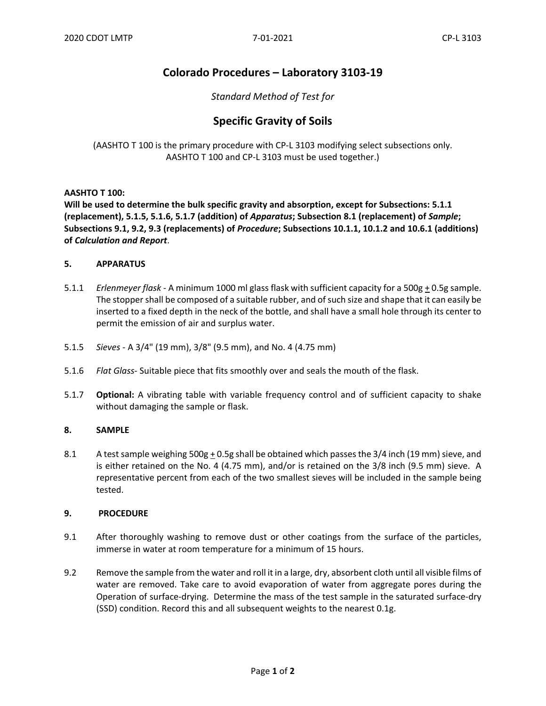# **Colorado Procedures – Laboratory 3103-19**

## *Standard Method of Test for*

# **Specific Gravity of Soils**

(AASHTO T 100 is the primary procedure with CP-L 3103 modifying select subsections only. AASHTO T 100 and CP-L 3103 must be used together.)

### **AASHTO T 100:**

**Will be used to determine the bulk specific gravity and absorption, except for Subsections: 5.1.1 (replacement), 5.1.5, 5.1.6, 5.1.7 (addition) of** *Apparatus***; Subsection 8.1 (replacement) of** *Sample***; Subsections 9.1, 9.2, 9.3 (replacements) of** *Procedure***; Subsections 10.1.1, 10.1.2 and 10.6.1 (additions) of** *Calculation and Report*.

### **5. APPARATUS**

- 5.1.1 *Erlenmeyer flask* A minimum 1000 ml glass flask with sufficient capacity for a 500g + 0.5g sample. The stopper shall be composed of a suitable rubber, and of such size and shape that it can easily be inserted to a fixed depth in the neck of the bottle, and shall have a small hole through its center to permit the emission of air and surplus water.
- 5.1.5 *Sieves*  A 3/4" (19 mm), 3/8" (9.5 mm), and No. 4 (4.75 mm)
- 5.1.6 *Flat Glass-* Suitable piece that fits smoothly over and seals the mouth of the flask.
- 5.1.7 **Optional:** A vibrating table with variable frequency control and of sufficient capacity to shake without damaging the sample or flask.

#### **8. SAMPLE**

8.1 A test sample weighing  $500g + 0.5g$  shall be obtained which passes the  $3/4$  inch (19 mm) sieve, and is either retained on the No. 4 (4.75 mm), and/or is retained on the 3/8 inch (9.5 mm) sieve. A representative percent from each of the two smallest sieves will be included in the sample being tested.

#### **9. PROCEDURE**

- 9.1 After thoroughly washing to remove dust or other coatings from the surface of the particles, immerse in water at room temperature for a minimum of 15 hours.
- 9.2 Remove the sample from the water and roll it in a large, dry, absorbent cloth until all visible films of water are removed. Take care to avoid evaporation of water from aggregate pores during the Operation of surface-drying. Determine the mass of the test sample in the saturated surface-dry (SSD) condition. Record this and all subsequent weights to the nearest 0.1g.